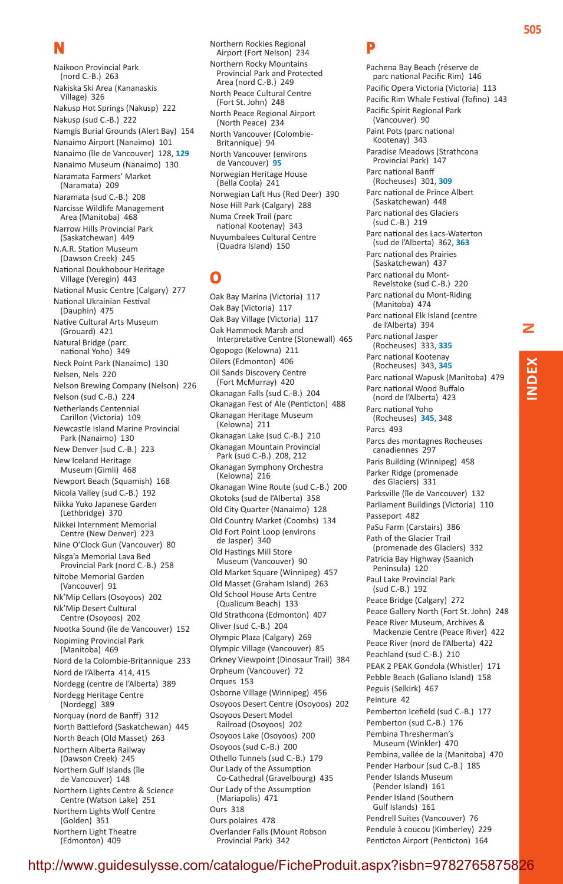## **N**

Naikoon Provincial Park (nord C.-B.)  263 Nakiska Ski Area (Kananaskis Village)  326 Nakusp Hot Springs (Nakusp)  222 Nakusp (sud C.-B.)  222 Namgis Burial Grounds (Alert Bay)  154 Nanaimo Airport (Nanaimo)  101 Nanaimo (île de Vancouver)  128, **129** Nanaimo Museum (Nanaimo)  130 Naramata Farmers' Market (Naramata)  209 Naramata (sud C.-B.)  208 Narcisse Wildlife Management Area (Manitoba)  468 Narrow Hills Provincial Park (Saskatchewan)  449 N.A.R. Station Museum (Dawson Creek)  245 National Doukhobour Heritage Village (Veregin)  443 National Music Centre (Calgary)  277 National Ukrainian Festival (Dauphin)  475 Native Cultural Arts Museum (Grouard)  421 Natural Bridge (parc national Yoho)  349 Neck Point Park (Nanaimo)  130 Nelsen, Nels  220 Nelson Brewing Company (Nelson)  226 Nelson (sud C.-B.)  224 Netherlands Centennial Carillon (Victoria)  109 Newcastle Island Marine Provincial Park (Nanaimo)  130 New Denver (sud C.-B.)  223 New Iceland Heritage Museum (Gimli)  468 Newport Beach (Squamish)  168 Nicola Valley (sud C.-B.)  192 Nikka Yuko Japanese Garden (Lethbridge)  370 Nikkei Internment Memorial Centre (New Denver)  223 Nine O'Clock Gun (Vancouver)  80 Nisga'a Memorial Lava Bed Provincial Park (nord C.-B.)  258 Nitobe Memorial Garden (Vancouver)  91 Nk'Mip Cellars (Osoyoos)  202 Nk'Mip Desert Cultural Centre (Osoyoos)  202 Nootka Sound (île de Vancouver)  152 Nopiming Provincial Park (Manitoba)  469 Nord de la Colombie-Britannique  233 Nord de l'Alberta  414, 415 Nordegg (centre de l'Alberta)  389 Nordegg Heritage Centre (Nordegg)  389 Norquay (nord de Banff)  312 North Battleford (Saskatchewan)  445 North Beach (Old Masset)  263 Northern Alberta Railway (Dawson Creek)  245 Northern Gulf Islands (île de Vancouver)  148 Northern Lights Centre & Science Centre (Watson Lake)  251 Northern Lights Wolf Centre (Golden)  351 Northern Light Theatre (Edmonton)  409

Northern Rockies Regional Airport (Fort Nelson)  234 Northern Rocky Mountains Provincial Park and Protected Area (nord C.-B.)  249 North Peace Cultural Centre (Fort St. John)  248 North Peace Regional Airport (North Peace)  234 North Vancouver (Colombie-Britannique)  94 North Vancouver (environs de Vancouver)  **95** Norwegian Heritage House (Bella Coola)  241 Norwegian Laft Hus (Red Deer)  390 Nose Hill Park (Calgary)  288 Numa Creek Trail (parc national Kootenay)  343 Nuyumbalees Cultural Centre (Quadra Island)  150

**O**

Oak Bay Marina (Victoria)  117 Oak Bay (Victoria)  117 Oak Bay Village (Victoria)  117 Oak Hammock Marsh and Interpretative Centre (Stonewall)  465 Ogopogo (Kelowna)  211 Oilers (Edmonton)  406 Oil Sands Discovery Centre (Fort McMurray)  420 Okanagan Falls (sud C.-B.)  204 Okanagan Fest of Ale (Penticton)  488 Okanagan Heritage Museum (Kelowna)  211 Okanagan Lake (sud C.-B.)  210 Okanagan Mountain Provincial Park (sud C.-B.)  208, 212 Okanagan Symphony Orchestra (Kelowna)  216 Okanagan Wine Route (sud C.-B.)  200 Okotoks (sud de l'Alberta)  358 Old City Quarter (Nanaimo)  128 Old Country Market (Coombs)  134 Old Fort Point Loop (environs de Jasper)  340 Old Hastings Mill Store Museum (Vancouver)  90 Old Market Square (Winnipeg)  457 Old Masset (Graham Island)  263 Old School House Arts Centre (Qualicum Beach)  133 Old Strathcona (Edmonton)  407 Oliver (sud C.-B.)  204 Olympic Plaza (Calgary)  269 Olympic Village (Vancouver)  85 Orkney Viewpoint (Dinosaur Trail)  384 Orpheum (Vancouver)  72 Orques  153 Osborne Village (Winnipeg)  456 Osoyoos Desert Centre (Osoyoos)  202 Osoyoos Desert Model Railroad (Osoyoos)  202 Osoyoos Lake (Osoyoos)  200 Osoyoos (sud C.-B.)  200 Othello Tunnels (sud C.-B.)  179 Our Lady of the Assumption Co-Cathedral (Gravelbourg)  435 Our Lady of the Assumption (Mariapolis)  471 Ours  318 Ours polaires  478 Overlander Falls (Mount Robson Provincial Park)  342

### **P**

Pachena Bay Beach (réserve de parc national Pacific Rim)  146 Pacific Opera Victoria (Victoria)  113 Pacific Rim Whale Festival (Tofino)  143 Pacific Spirit Regional Park (Vancouver)  90 Paint Pots (parc national Kootenay)  343 Paradise Meadows (Strathcona Provincial Park)  147 Parc national Banff (Rocheuses)  301, **309** Parc national de Prince Albert (Saskatchewan)  448 Parc national des Glaciers (sud C.-B.)  219 Parc national des Lacs-Waterton (sud de l'Alberta)  362, **363** Parc national des Prairies (Saskatchewan)  437 Parc national du Mont-Revelstoke (sud C.-B.)  220 Parc national du Mont-Riding (Manitoba)  474 Parc national Elk Island (centre de l'Alberta)  394 Parc national Jasper (Rocheuses)  333, **335** Parc national Kootenay (Rocheuses)  343, **345** Parc national Wapusk (Manitoba)  479 Parc national Wood Buffalo (nord de l'Alberta)  423 Parc national Yoho (Rocheuses)  **345**, 348 Parcs  493 Parcs des montagnes Rocheuses canadiennes  297 Paris Building (Winnipeg)  458 Parker Ridge (promenade des Glaciers)  331 Parksville (île de Vancouver)  132 Parliament Buildings (Victoria)  110 Passeport  482 PaSu Farm (Carstairs)  386 Path of the Glacier Trail (promenade des Glaciers)  332 Patricia Bay Highway (Saanich Peninsula)  120 Paul Lake Provincial Park (sud C.-B.)  192 Peace Bridge (Calgary)  272 Peace Gallery North (Fort St. John)  248 Peace River Museum, Archives & Mackenzie Centre (Peace River)  422 Peace River (nord de l'Alberta)  422 Peachland (sud C.-B.)  210 PEAK 2 PEAK Gondola (Whistler)  171 Pebble Beach (Galiano Island)  158 Peguis (Selkirk)  467 Peinture  42 Pemberton Icefield (sud C.-B.)  177 Pemberton (sud C.-B.)  176 Pembina Thresherman's Museum (Winkler)  470 Pembina, vallée de la (Manitoba)  470 Pender Harbour (sud C.-B.)  185 Pender Islands Museum (Pender Island)  161 Pender Island (Southern Gulf Islands)  161 Pendrell Suites (Vancouver)  76 Pendule à coucou (Kimberley)  229

Penticton Airport (Penticton)  164

http://www.guidesulysse.com/catalogue/FicheProduit.aspx?isbn=9782894649299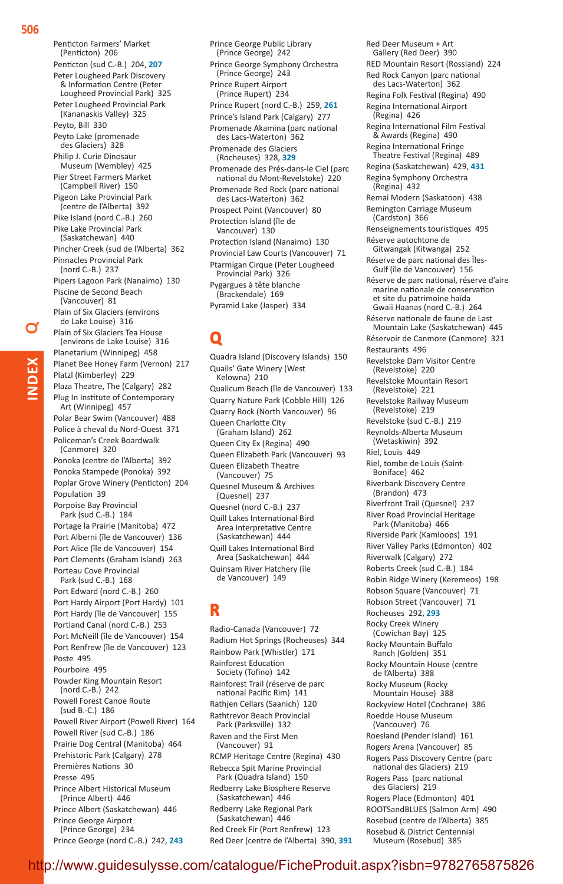Penticton Farmers' Market (Penticton)  206 Penticton (sud C.-B.)  204, **207** Peter Lougheed Park Discovery & Information Centre (Peter Lougheed Provincial Park)  325 Peter Lougheed Provincial Park (Kananaskis Valley)  325 Peyto, Bill  330 Peyto Lake (promenade des Glaciers)  328 Philip J. Curie Dinosaur Museum (Wembley)  425 Pier Street Farmers Market (Campbell River)  150 Pigeon Lake Provincial Park (centre de l'Alberta)  392 Pike Island (nord C.-B.)  260 Pike Lake Provincial Park (Saskatchewan)  440 Pincher Creek (sud de l'Alberta)  362 Pinnacles Provincial Park (nord C.-B.)  237 Pipers Lagoon Park (Nanaimo)  130 Piscine de Second Beach (Vancouver)  81 Plain of Six Glaciers (environs de Lake Louise)  316 Plain of Six Glaciers Tea House (environs de Lake Louise)  316 Planetarium (Winnipeg)  458 Planet Bee Honey Farm (Vernon)  217 Platzl (Kimberley)  229 Plaza Theatre, The (Calgary)  282 Plug In Institute of Contemporary Art (Winnipeg)  457 Polar Bear Swim (Vancouver)  488 Police à cheval du Nord-Ouest  371 Policeman's Creek Boardwalk (Canmore)  320 Ponoka (centre de l'Alberta)  392 Ponoka Stampede (Ponoka)  392 Poplar Grove Winery (Penticton)  204 Population  39 Porpoise Bay Provincial Park (sud C.-B.)  184 Portage la Prairie (Manitoba)  472 Port Alberni (île de Vancouver)  136 Port Alice (île de Vancouver)  154 Port Clements (Graham Island)  263 Porteau Cove Provincial Park (sud C.-B.)  168 Port Edward (nord C.-B.)  260 Port Hardy Airport (Port Hardy)  101 Port Hardy (île de Vancouver)  155 Portland Canal (nord C.-B.)  253 Port McNeill (île de Vancouver)  154 Port Renfrew (île de Vancouver)  123 Poste  495 Pourboire  495 Powder King Mountain Resort (nord C.-B.)  242 Powell Forest Canoe Route (sud B.-C.)  186 Powell River Airport (Powell River)  164 Powell River (sud C.-B.)  186 Prairie Dog Central (Manitoba)  464 Prehistoric Park (Calgary)  278 Premières Nations  30 Presse  495 Prince Albert Historical Museum (Prince Albert)  446 Prince Albert (Saskatchewan)  446 Prince George Airport (Prince George)  234

Prince George (nord C.-B.)  242, **243**

Prince George Public Library (Prince George)  242 Prince George Symphony Orchestra (Prince George)  243 Prince Rupert Airport (Prince Rupert)  234 Prince Rupert (nord C.-B.)  259, **261** Prince's Island Park (Calgary)  277 Promenade Akamina (parc national des Lacs-Waterton)  362 Promenade des Glaciers (Rocheuses)  328, **329** Promenade des Prés-dans-le Ciel (parc national du Mont-Revelstoke)  220 Promenade Red Rock (parc national des Lacs-Waterton)  362 Prospect Point (Vancouver)  80 Protection Island (île de Vancouver)  130 Protection Island (Nanaimo)  130 Provincial Law Courts (Vancouver)  71 Ptarmigan Cirque (Peter Lougheed Provincial Park)  326 Pygargues à tête blanche (Brackendale)  169 Pyramid Lake (Jasper)  334

# **Q**

Quadra Island (Discovery Islands)  150 Quails' Gate Winery (West Kelowna)  210 Qualicum Beach (île de Vancouver)  133 Quarry Nature Park (Cobble Hill)  126 Quarry Rock (North Vancouver)  96 Queen Charlotte City (Graham Island)  262 Queen City Ex (Regina)  490 Queen Elizabeth Park (Vancouver)  93 Queen Elizabeth Theatre (Vancouver)  75 Quesnel Museum & Archives (Quesnel)  237 Quesnel (nord C.-B.)  237 Quill Lakes International Bird Area Interpretative Centre (Saskatchewan)  444 Quill Lakes International Bird Area (Saskatchewan)  444 Quinsam River Hatchery (île de Vancouver)  149

## **R**

Radio-Canada (Vancouver)  72 Radium Hot Springs (Rocheuses)  344 Rainbow Park (Whistler)  171 Rainforest Education Society (Tofino)  142 Rainforest Trail (réserve de parc national Pacific Rim)  141 Rathjen Cellars (Saanich)  120 Rathtrevor Beach Provincial Park (Parksville)  132 Raven and the First Men (Vancouver)  91 RCMP Heritage Centre (Regina)  430 Rebecca Spit Marine Provincial Park (Quadra Island)  150 Redberry Lake Biosphere Reserve (Saskatchewan)  446 Redberry Lake Regional Park (Saskatchewan)  446 Red Creek Fir (Port Renfrew)  123 Red Deer (centre de l'Alberta)  390, **391**

Gallery (Red Deer)  390 RED Mountain Resort (Rossland)  224 Red Rock Canyon (parc national des Lacs-Waterton)  362 Regina Folk Festival (Regina)  490 Regina International Airport (Regina)  426 Regina International Film Festival & Awards (Regina)  490 Regina International Fringe Theatre Festival (Regina)  489 Regina (Saskatchewan)  429, **431** Regina Symphony Orchestra (Regina)  432 Remai Modern (Saskatoon)  438 Remington Carriage Museum (Cardston)  366 Renseignements touristiques  495 Réserve autochtone de Gitwangak (Kitwanga)  252 Réserve de parc national des Îles-Gulf (île de Vancouver)  156 Réserve de parc national, réserve d'aire marine nationale de conservation et site du patrimoine haïda Gwaii Haanas (nord C.-B.)  264 Réserve nationale de faune de Last Mountain Lake (Saskatchewan)  445 Réservoir de Canmore (Canmore)  321 Restaurants  496 Revelstoke Dam Visitor Centre (Revelstoke)  220 Revelstoke Mountain Resort (Revelstoke)  221 Revelstoke Railway Museum (Revelstoke)  219 Revelstoke (sud C.-B.)  219 Reynolds-Alberta Museum (Wetaskiwin)  392 Riel, Louis  449 Riel, tombe de Louis (Saint-Boniface)  462 Riverbank Discovery Centre (Brandon)  473 Riverfront Trail (Quesnel)  237 River Road Provincial Heritage Park (Manitoba)  466 Riverside Park (Kamloops)  191 River Valley Parks (Edmonton)  402 Riverwalk (Calgary)  272 Roberts Creek (sud C.-B.)  184 Robin Ridge Winery (Keremeos)  198 Robson Square (Vancouver)  71 Robson Street (Vancouver)  71 Rocheuses  292, **293** Rocky Creek Winery (Cowichan Bay)  125 Rocky Mountain Buffalo Ranch (Golden)  351 Rocky Mountain House (centre de l'Alberta)  388 Rocky Museum (Rocky Mountain House)  388 Rockyview Hotel (Cochrane)  386 Roedde House Museum (Vancouver)  76 Roesland (Pender Island)  161 Rogers Arena (Vancouver)  85 Rogers Pass Discovery Centre (parc national des Glaciers)  219 Rogers Pass (parc national des Glaciers)  219 Rogers Place (Edmonton)  401 ROOTSandBLUES (Salmon Arm)  490 Rosebud (centre de l'Alberta)  385 Rosebud & District Centennial Museum (Rosebud)  385

Red Deer Museum + Art

#### http://www.guidesulysse.com/catalogue/FicheProduit.aspx?isbn=9782894649299

**Index**

**Q**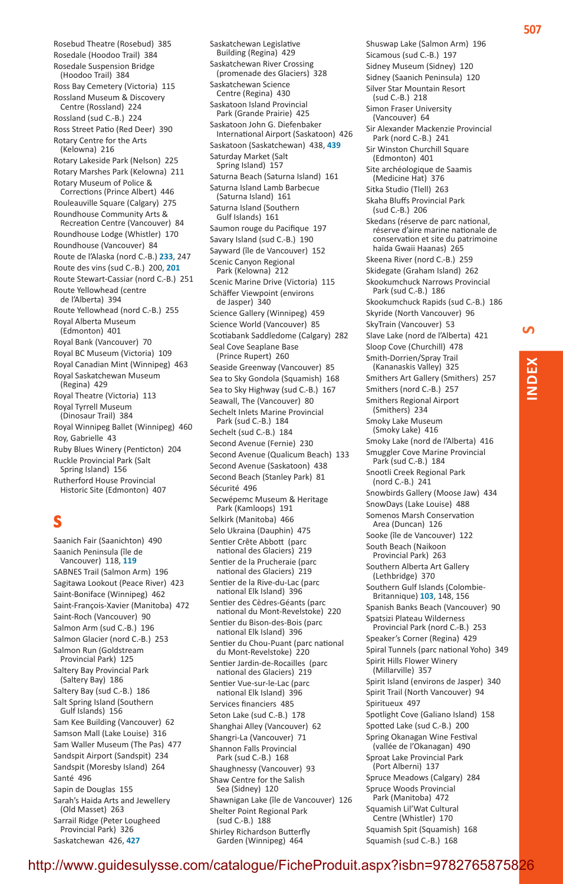Rosebud Theatre (Rosebud)  385 Rosedale (Hoodoo Trail)  384 Rosedale Suspension Bridge (Hoodoo Trail)  384 Ross Bay Cemetery (Victoria)  115 Rossland Museum & Discovery Centre (Rossland)  224 Rossland (sud C.-B.)  224 Ross Street Patio (Red Deer)  390 Rotary Centre for the Arts (Kelowna)  216 Rotary Lakeside Park (Nelson)  225 Rotary Marshes Park (Kelowna)  211 Rotary Museum of Police & Corrections (Prince Albert)  446 Rouleauville Square (Calgary)  275 Roundhouse Community Arts & Recreation Centre (Vancouver)  84 Roundhouse Lodge (Whistler)  170 Roundhouse (Vancouver)  84 Route de l'Alaska (nord C.-B.) **233**, 247 Route des vins (sud C.-B.)  200, **201** Route Stewart-Cassiar (nord C.-B.)  251 Route Yellowhead (centre de l'Alberta)  394 Route Yellowhead (nord C.-B.)  255 Royal Alberta Museum (Edmonton)  401 Royal Bank (Vancouver)  70 Royal BC Museum (Victoria)  109 Royal Canadian Mint (Winnipeg)  463 Royal Saskatchewan Museum (Regina)  429 Royal Theatre (Victoria)  113 Royal Tyrrell Museum (Dinosaur Trail)  384 Royal Winnipeg Ballet (Winnipeg)  460 Roy, Gabrielle  43 Ruby Blues Winery (Penticton)  204 Ruckle Provincial Park (Salt Spring Island)  156 Rutherford House Provincial Historic Site (Edmonton)  407

### **S**

Saanich Fair (Saanichton)  490 Saanich Peninsula (île de Vancouver)  118, **119** SABNES Trail (Salmon Arm)  196 Sagitawa Lookout (Peace River)  423 Saint-Boniface (Winnipeg)  462 Saint-François-Xavier (Manitoba)  472 Saint-Roch (Vancouver)  90 Salmon Arm (sud C.-B.)  196 Salmon Glacier (nord C.-B.)  253 Salmon Run (Goldstream Provincial Park)  125 Saltery Bay Provincial Park (Saltery Bay)  186 Saltery Bay (sud C.-B.)  186 Salt Spring Island (Southern Gulf Islands)  156 Sam Kee Building (Vancouver)  62 Samson Mall (Lake Louise)  316 Sam Waller Museum (The Pas)  477 Sandspit Airport (Sandspit)  234 Sandspit (Moresby Island)  264 Santé  496 Sapin de Douglas  155 Sarah's Haida Arts and Jewellery (Old Masset)  263 Sarrail Ridge (Peter Lougheed Provincial Park)  326 Saskatchewan  426, **427**

Saskatchewan Legislative Building (Regina)  429 Saskatchewan River Crossing (promenade des Glaciers)  328 Saskatchewan Science Centre (Regina)  430 Saskatoon Island Provincial Park (Grande Prairie)  425 Saskatoon John G. Diefenbaker International Airport (Saskatoon)  426 Saskatoon (Saskatchewan)  438, **439** Saturday Market (Salt Spring Island) 157 Saturna Beach (Saturna Island)  161 Saturna Island Lamb Barbecue (Saturna Island)  161 Saturna Island (Southern Gulf Islands)  161 Saumon rouge du Pacifique  197 Savary Island (sud C.-B.)  190 Sayward (île de Vancouver)  152 Scenic Canyon Regional Park (Kelowna)  212 Scenic Marine Drive (Victoria)  115 Schäffer Viewpoint (environs de Jasper)  340 Science Gallery (Winnipeg)  459 Science World (Vancouver)  85 Scotiabank Saddledome (Calgary)  282 Seal Cove Seaplane Base (Prince Rupert)  260 Seaside Greenway (Vancouver)  85 Sea to Sky Gondola (Squamish)  168 Sea to Sky Highway (sud C.-B.)  167 Seawall, The (Vancouver)  80 Sechelt Inlets Marine Provincial Park (sud C.-B.)  184 Sechelt (sud C.-B.)  184 Second Avenue (Fernie)  230 Second Avenue (Qualicum Beach)  133 Second Avenue (Saskatoon)  438 Second Beach (Stanley Park)  81 Sécurité  496 Secwépemc Museum & Heritage Park (Kamloops)  191 Selkirk (Manitoba)  466 Selo Ukraina (Dauphin)  475 Sentier Crête Abbott (parc national des Glaciers)  219 Sentier de la Prucheraie (parc national des Glaciers)  219 Sentier de la Rive-du-Lac (parc national Elk Island)  396 Sentier des Cèdres-Géants (parc national du Mont-Revelstoke)  220 Sentier du Bison-des-Bois (parc national Elk Island)  396 Sentier du Chou-Puant (parc national du Mont-Revelstoke)  220 Sentier Jardin-de-Rocailles (parc national des Glaciers)  219 Sentier Vue-sur-le-Lac (parc national Elk Island)  396 Services financiers  485 Seton Lake (sud C.-B.)  178 Shanghai Alley (Vancouver)  62 Shangri-La (Vancouver)  71 Shannon Falls Provincial Park (sud C.-B.)  168 Shaughnessy (Vancouver)  93 Shaw Centre for the Salish Sea (Sidney)  120 Shawnigan Lake (île de Vancouver)  126 Shelter Point Regional Park (sud C.-B.)  188 Shirley Richardson Butterfly Garden (Winnipeg)  464

Shuswap Lake (Salmon Arm)  196 Sicamous (sud C.-B.)  197 Sidney Museum (Sidney)  120 Sidney (Saanich Peninsula)  120 Silver Star Mountain Resort (sud C.-B.)  218 Simon Fraser University (Vancouver)  64 Sir Alexander Mackenzie Provincial Park (nord C.-B.)  241 Sir Winston Churchill Square (Edmonton)  401 Site archéologique de Saamis (Medicine Hat)  376 Sitka Studio (Tlell)  263 Skaha Bluffs Provincial Park (sud C.-B.)  206 Skedans (réserve de parc national, réserve d'aire marine nationale de conservation et site du patrimoine haïda Gwaii Haanas)  265 Skeena River (nord C.-B.)  259 Skidegate (Graham Island)  262 Skookumchuck Narrows Provincial Park (sud C.-B.)  186 Skookumchuck Rapids (sud C.-B.)  186 Skyride (North Vancouver)  96 SkyTrain (Vancouver)  53 Slave Lake (nord de l'Alberta)  421 Sloop Cove (Churchill)  478 Smith-Dorrien/Spray Trail (Kananaskis Valley)  325 Smithers Art Gallery (Smithers)  257 Smithers (nord C.-B.)  257 Smithers Regional Airport (Smithers)  234 Smoky Lake Museum (Smoky Lake)  416 Smoky Lake (nord de l'Alberta)  416 Smuggler Cove Marine Provincial Park (sud C.-B.)  184 Snootli Creek Regional Park (nord C.-B.)  241 Snowbirds Gallery (Moose Jaw)  434 SnowDays (Lake Louise)  488 Somenos Marsh Conservation Area (Duncan)  126 Sooke (île de Vancouver)  122 South Beach (Naikoon Provincial Park)  263 Southern Alberta Art Gallery (Lethbridge)  370 Southern Gulf Islands (Colombie-Britannique) **103**, 148, 156 Spanish Banks Beach (Vancouver)  90 Spatsizi Plateau Wilderness Provincial Park (nord C.-B.)  253 Speaker's Corner (Regina)  429 Spiral Tunnels (parc national Yoho)  349 Spirit Hills Flower Winery (Millarville)  357 Spirit Island (environs de Jasper)  340 Spirit Trail (North Vancouver)  94 Spiritueux  497 Spotlight Cove (Galiano Island)  158 Spotted Lake (sud C.-B.)  200 Spring Okanagan Wine Festival (vallée de l'Okanagan)  490 Sproat Lake Provincial Park (Port Alberni)  137 Spruce Meadows (Calgary)  284 Spruce Woods Provincial Park (Manitoba)  472 Squamish Lil'Wat Cultural Centre (Whistler)  170 Squamish Spit (Squamish)  168 Squamish (sud C.-B.)  168

 $\Omega$ 

**Index**

#### http://www.guidesulysse.com/catalogue/FicheProduit.aspx?isbn=9782894649209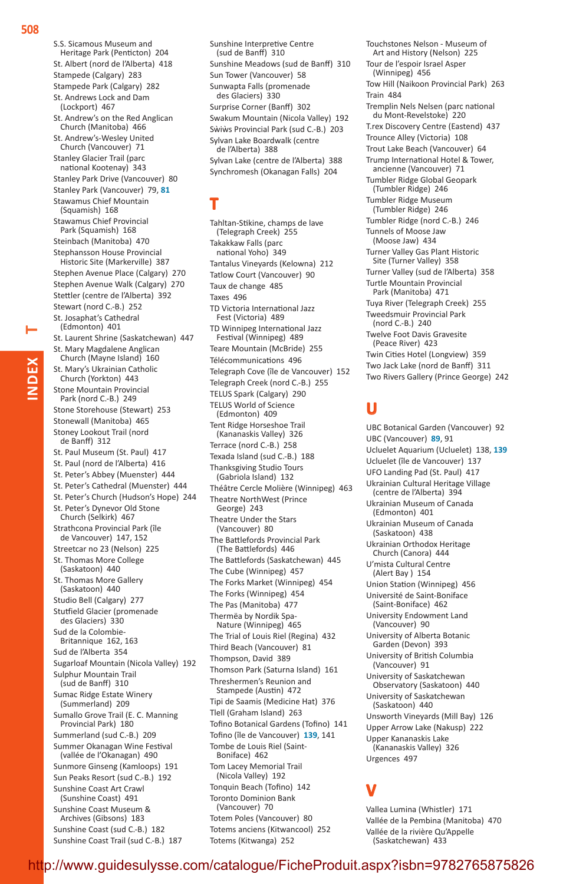St. Albert (nord de l'Alberta)  418 Stampede (Calgary)  283 Stampede Park (Calgary)  282 St. Andrews Lock and Dam (Lockport)  467 St. Andrew's on the Red Anglican Church (Manitoba)  466 St. Andrew's-Wesley United Church (Vancouver)  71 Stanley Glacier Trail (parc national Kootenay)  343 Stanley Park Drive (Vancouver)  80 Stanley Park (Vancouver)  79, **81** Stawamus Chief Mountain (Squamish)  168 Stawamus Chief Provincial Park (Squamish)  168 Steinbach (Manitoba)  470 Stephansson House Provincial Historic Site (Markerville)  387 Stephen Avenue Place (Calgary)  270 Stephen Avenue Walk (Calgary)  270 Stettler (centre de l'Alberta)  392 Stewart (nord C.-B.)  252 St. Josaphat's Cathedral (Edmonton)  401 St. Laurent Shrine (Saskatchewan)  447 St. Mary Magdalene Anglican Church (Mayne Island)  160 St. Mary's Ukrainian Catholic Church (Yorkton)  443 Stone Mountain Provincial Park (nord C.-B.)  249 Stone Storehouse (Stewart)  253 Stonewall (Manitoba)  465 Stoney Lookout Trail (nord de Banff)  312 St. Paul Museum (St. Paul)  417 St. Paul (nord de l'Alberta)  416 St. Peter's Abbey (Muenster)  444 St. Peter's Cathedral (Muenster)  444 St. Peter's Church (Hudson's Hope)  244 St. Peter's Dynevor Old Stone Church (Selkirk)  467 Strathcona Provincial Park (île de Vancouver)  147, 152 Streetcar no 23 (Nelson)  225 St. Thomas More College (Saskatoon)  440 St. Thomas More Gallery (Saskatoon)  440 Studio Bell (Calgary)  277 Stutfield Glacier (promenade des Glaciers)  330 Sud de la Colombie-Britannique  162, 163 Sud de l'Alberta  354 Sugarloaf Mountain (Nicola Valley)  192 Sulphur Mountain Trail (sud de Banff)  310 Sumac Ridge Estate Winery (Summerland)  209 Sumallo Grove Trail (E. C. Manning Provincial Park)  180 Summerland (sud C.-B.)  209 Summer Okanagan Wine Festival (vallée de l'Okanagan)  490 Sunmore Ginseng (Kamloops)  191 Sun Peaks Resort (sud C.-B.)  192 Sunshine Coast Art Crawl (Sunshine Coast)  491 Sunshine Coast Museum & Archives (Gibsons)  183 Sunshine Coast (sud C.-B.)  182 Sunshine Coast Trail (sud C.-B.)  187

Sunshine Interpretive Centre (sud de Banff)  310 Sunshine Meadows (sud de Banff)  310 Sun Tower (Vancouver)  58 Sunwapta Falls (promenade des Glaciers)  330 Surprise Corner (Banff)  302 Swakum Mountain (Nicola Valley)  192 Sẁiẁs Provincial Park (sud C.-B.)  203 Sylvan Lake Boardwalk (centre de l'Alberta)  388 Sylvan Lake (centre de l'Alberta)  388 Synchromesh (Okanagan Falls)  204

## **T**

Tahltan-Stikine, champs de lave (Telegraph Creek)  255 Takakkaw Falls (parc national Yoho)  349 Tantalus Vineyards (Kelowna)  212 Tatlow Court (Vancouver)  90 Taux de change  485 Taxes  496 TD Victoria International Jazz Fest (Victoria)  489 TD Winnipeg International Jazz Festival (Winnipeg)  489 Teare Mountain (McBride)  255 Télécommunications  496 Telegraph Cove (île de Vancouver)  152 Telegraph Creek (nord C.-B.)  255 TELUS Spark (Calgary)  290 TELUS World of Science (Edmonton)  409 Tent Ridge Horseshoe Trail (Kananaskis Valley)  326 Terrace (nord C.-B.)  258 Texada Island (sud C.-B.)  188 Thanksgiving Studio Tours (Gabriola Island)  132 Théâtre Cercle Molière (Winnipeg)  463 Theatre NorthWest (Prince George)  243 Theatre Under the Stars (Vancouver)  80 The Battlefords Provincial Park (The Battlefords)  446 The Battlefords (Saskatchewan)  445 The Cube (Winnipeg)  457 The Forks Market (Winnipeg)  454 The Forks (Winnipeg)  454 The Pas (Manitoba)  477 Thermëa by Nordik Spa-Nature (Winnipeg)  465 The Trial of Louis Riel (Regina)  432 Third Beach (Vancouver)  81 Thompson, David  389 Thomson Park (Saturna Island)  161 Threshermen's Reunion and Stampede (Austin)  472 Tipi de Saamis (Medicine Hat)  376 Tlell (Graham Island)  263 Tofino Botanical Gardens (Tofino)  141 Tofino (île de Vancouver)  **139**, 141 Tombe de Louis Riel (Saint-Boniface)  462 Tom Lacey Memorial Trail (Nicola Valley)  192 Tonquin Beach (Tofino)  142 Toronto Dominion Bank (Vancouver)  70 Totem Poles (Vancouver)  80 Totems anciens (Kitwancool)  252

Touchstones Nelson - Museum of Art and History (Nelson)  225 Tour de l'espoir Israel Asper (Winnipeg)  456 Tow Hill (Naikoon Provincial Park)  263 Train  484 Tremplin Nels Nelsen (parc national du Mont-Revelstoke)  220 T.rex Discovery Centre (Eastend)  437 Trounce Alley (Victoria)  108 Trout Lake Beach (Vancouver)  64 Trump International Hotel & Tower, ancienne (Vancouver)  71 Tumbler Ridge Global Geopark (Tumbler Ridge)  246 Tumbler Ridge Museum (Tumbler Ridge)  246 Tumbler Ridge (nord C.-B.)  246 Tunnels of Moose Jaw (Moose Jaw)  434 Turner Valley Gas Plant Historic Site (Turner Valley)  358 Turner Valley (sud de l'Alberta)  358 Turtle Mountain Provincial Park (Manitoba)  471 Tuya River (Telegraph Creek)  255 Tweedsmuir Provincial Park (nord C.-B.)  240 Twelve Foot Davis Gravesite (Peace River)  423 Twin Cities Hotel (Longview)  359 Two Jack Lake (nord de Banff)  311 Two Rivers Gallery (Prince George)  242

### **U**

UBC Botanical Garden (Vancouver)  92 UBC (Vancouver)  **89**, 91 Ucluelet Aquarium (Ucluelet)  138, **139** Ucluelet (île de Vancouver)  137 UFO Landing Pad (St. Paul)  417 Ukrainian Cultural Heritage Village (centre de l'Alberta)  394 Ukrainian Museum of Canada (Edmonton)  401 Ukrainian Museum of Canada (Saskatoon)  438 Ukrainian Orthodox Heritage Church (Canora)  444 U'mista Cultural Centre (Alert Bay )  154 Union Station (Winnipeg)  456 Université de Saint-Boniface (Saint-Boniface)  462 University Endowment Land (Vancouver)  90 University of Alberta Botanic Garden (Devon)  393 University of British Columbia (Vancouver)  91 University of Saskatchewan Observatory (Saskatoon)  440 University of Saskatchewan (Saskatoon)  440 Unsworth Vineyards (Mill Bay)  126 Upper Arrow Lake (Nakusp)  222 Upper Kananaskis Lake (Kananaskis Valley)  326 Urgences  497

# **V**

Vallea Lumina (Whistler)  171 Vallée de la Pembina (Manitoba)  470 Vallée de la rivière Qu'Appelle (Saskatchewan)  433

 $\blacksquare$ 

**Index**

S.S. Sicamous Museum and Heritage Park (Penticton)  204

Totems (Kitwanga)  252